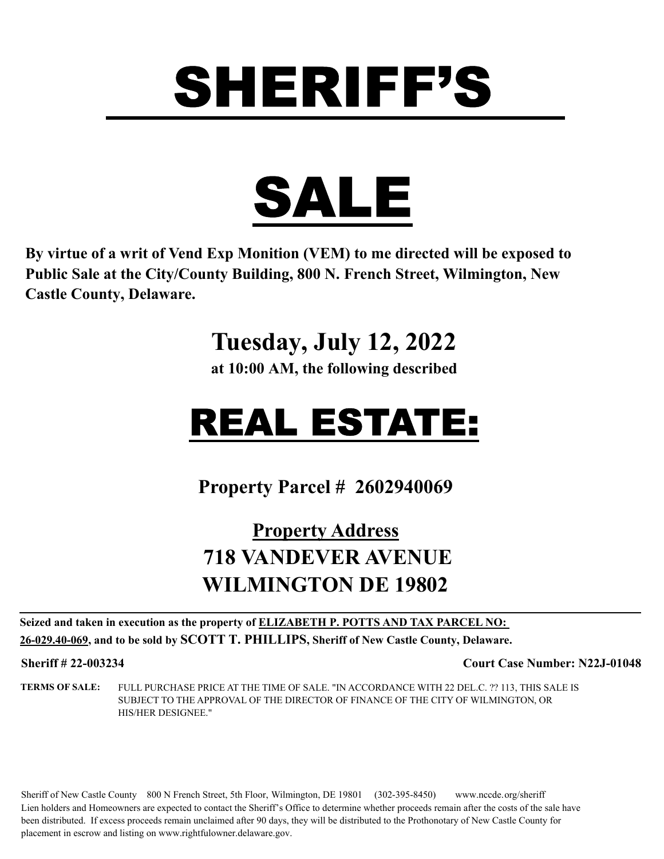

**By virtue of a writ of Vend Exp Monition (VEM) to me directed will be exposed to Public Sale at the City/County Building, 800 N. French Street, Wilmington, New Castle County, Delaware.** 

#### **Tuesday, July 12, 2022**

**at 10:00 AM, the following described**

## REAL ESTATE:

**Property Parcel # 2602940069**

#### **Property Address 718 VANDEVER AVENUE WILMINGTON DE 19802**

**Seized and taken in execution as the property of ELIZABETH P. POTTS AND TAX PARCEL NO: 26-029.40-069, and to be sold by SCOTT T. PHILLIPS, Sheriff of New Castle County, Delaware.**

**Sheriff # 22-003234 Court Case Number: N22J-01048**

**TERMS OF SALE:** FULL PURCHASE PRICE AT THE TIME OF SALE. "IN ACCORDANCE WITH 22 DEL.C. ?? 113, THIS SALE IS SUBJECT TO THE APPROVAL OF THE DIRECTOR OF FINANCE OF THE CITY OF WILMINGTON, OR HIS/HER DESIGNEE."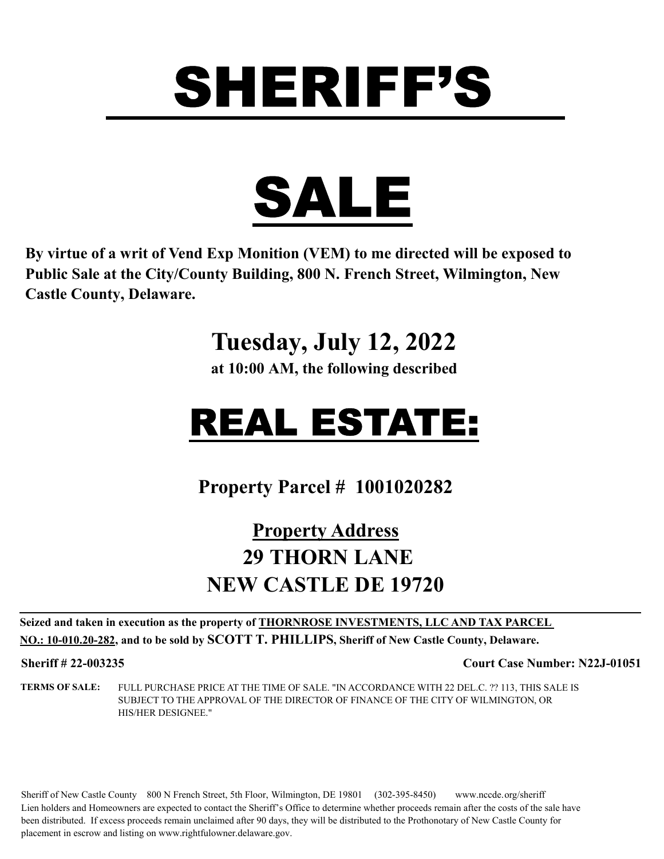

**By virtue of a writ of Vend Exp Monition (VEM) to me directed will be exposed to Public Sale at the City/County Building, 800 N. French Street, Wilmington, New Castle County, Delaware.** 

#### **Tuesday, July 12, 2022**

**at 10:00 AM, the following described**

## REAL ESTATE:

**Property Parcel # 1001020282**

#### **Property Address 29 THORN LANE NEW CASTLE DE 19720**

**Seized and taken in execution as the property of THORNROSE INVESTMENTS, LLC AND TAX PARCEL NO.: 10-010.20-282, and to be sold by SCOTT T. PHILLIPS, Sheriff of New Castle County, Delaware.**

**Sheriff # 22-003235 Court Case Number: N22J-01051**

**TERMS OF SALE:** FULL PURCHASE PRICE AT THE TIME OF SALE. "IN ACCORDANCE WITH 22 DEL.C. ?? 113, THIS SALE IS SUBJECT TO THE APPROVAL OF THE DIRECTOR OF FINANCE OF THE CITY OF WILMINGTON, OR HIS/HER DESIGNEE."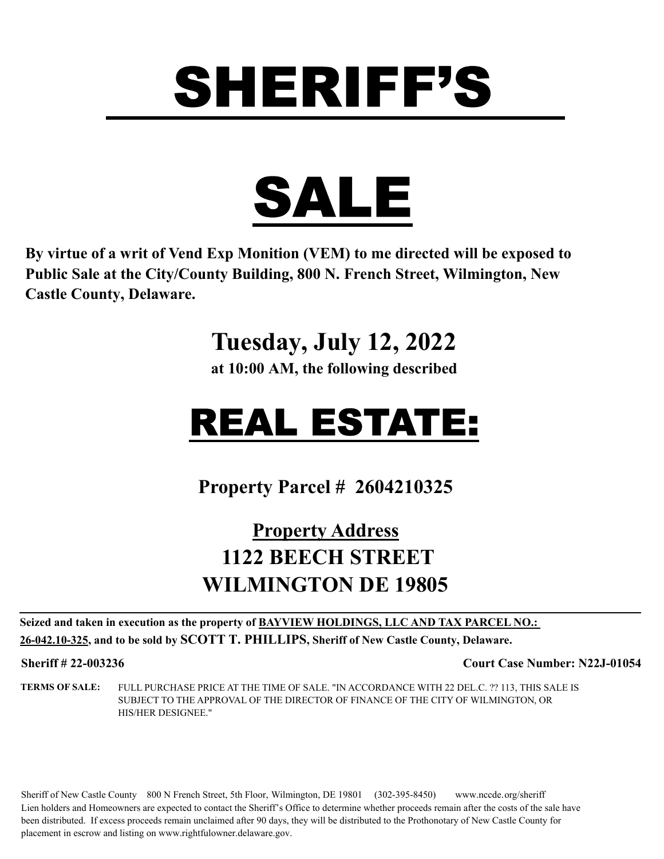

**By virtue of a writ of Vend Exp Monition (VEM) to me directed will be exposed to Public Sale at the City/County Building, 800 N. French Street, Wilmington, New Castle County, Delaware.** 

#### **Tuesday, July 12, 2022**

**at 10:00 AM, the following described**

## REAL ESTATE:

**Property Parcel # 2604210325**

#### **Property Address 1122 BEECH STREET WILMINGTON DE 19805**

**Seized and taken in execution as the property of BAYVIEW HOLDINGS, LLC AND TAX PARCEL NO.: 26-042.10-325, and to be sold by SCOTT T. PHILLIPS, Sheriff of New Castle County, Delaware.**

**Sheriff # 22-003236 Court Case Number: N22J-01054**

**TERMS OF SALE:** FULL PURCHASE PRICE AT THE TIME OF SALE. "IN ACCORDANCE WITH 22 DEL.C. ?? 113, THIS SALE IS SUBJECT TO THE APPROVAL OF THE DIRECTOR OF FINANCE OF THE CITY OF WILMINGTON, OR HIS/HER DESIGNEE."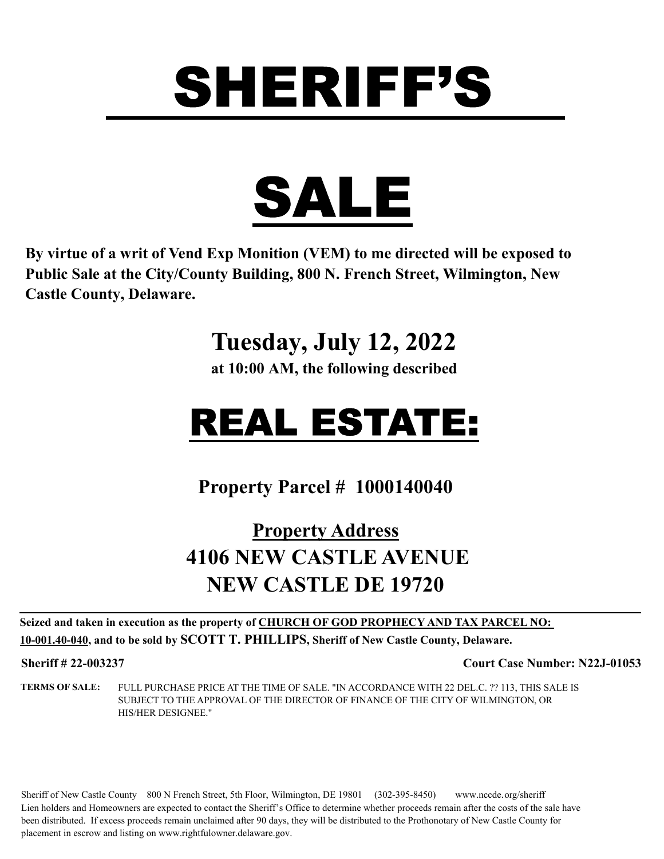

**By virtue of a writ of Vend Exp Monition (VEM) to me directed will be exposed to Public Sale at the City/County Building, 800 N. French Street, Wilmington, New Castle County, Delaware.** 

#### **Tuesday, July 12, 2022**

**at 10:00 AM, the following described**

## REAL ESTATE:

**Property Parcel # 1000140040**

#### **Property Address 4106 NEW CASTLE AVENUE NEW CASTLE DE 19720**

**Seized and taken in execution as the property of CHURCH OF GOD PROPHECY AND TAX PARCEL NO: 10-001.40-040, and to be sold by SCOTT T. PHILLIPS, Sheriff of New Castle County, Delaware.**

**Sheriff # 22-003237 Court Case Number: N22J-01053**

**TERMS OF SALE:** FULL PURCHASE PRICE AT THE TIME OF SALE. "IN ACCORDANCE WITH 22 DEL.C. ?? 113, THIS SALE IS SUBJECT TO THE APPROVAL OF THE DIRECTOR OF FINANCE OF THE CITY OF WILMINGTON, OR HIS/HER DESIGNEE."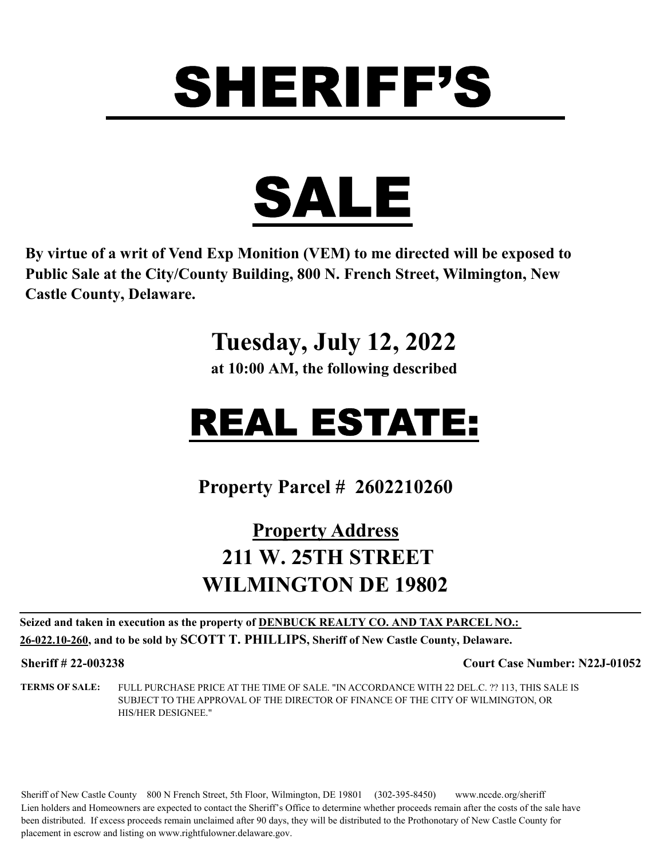

**By virtue of a writ of Vend Exp Monition (VEM) to me directed will be exposed to Public Sale at the City/County Building, 800 N. French Street, Wilmington, New Castle County, Delaware.** 

#### **Tuesday, July 12, 2022**

**at 10:00 AM, the following described**

## REAL ESTATE:

**Property Parcel # 2602210260**

#### **Property Address 211 W. 25TH STREET WILMINGTON DE 19802**

**Seized and taken in execution as the property of DENBUCK REALTY CO. AND TAX PARCEL NO.: 26-022.10-260, and to be sold by SCOTT T. PHILLIPS, Sheriff of New Castle County, Delaware.**

**Sheriff # 22-003238 Court Case Number: N22J-01052**

**TERMS OF SALE:** FULL PURCHASE PRICE AT THE TIME OF SALE. "IN ACCORDANCE WITH 22 DEL.C. ?? 113, THIS SALE IS SUBJECT TO THE APPROVAL OF THE DIRECTOR OF FINANCE OF THE CITY OF WILMINGTON, OR HIS/HER DESIGNEE."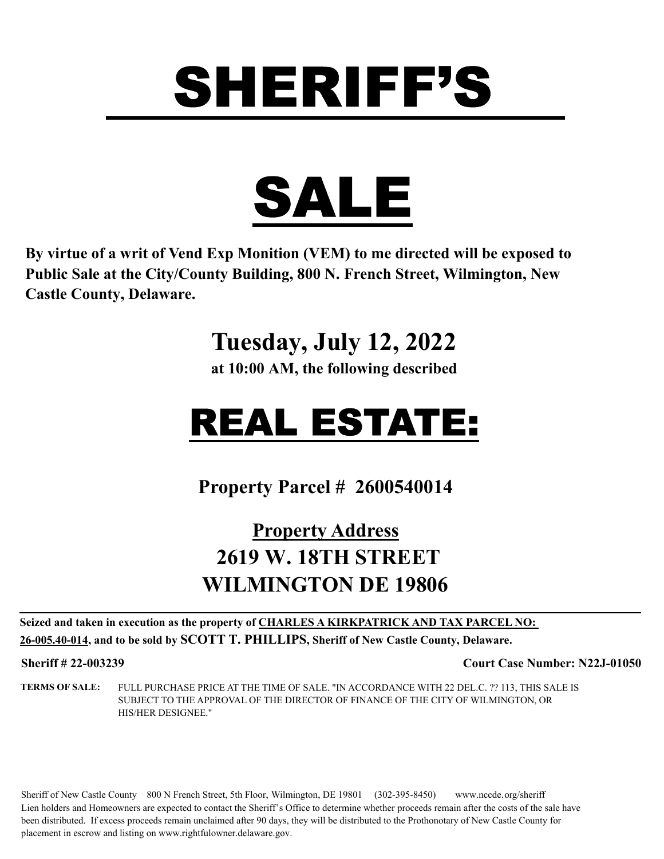

**By virtue of a writ of Vend Exp Monition (VEM) to me directed will be exposed to Public Sale at the City/County Building, 800 N. French Street, Wilmington, New Castle County, Delaware.** 

#### **Tuesday, July 12, 2022**

**at 10:00 AM, the following described**

## REAL ESTATE:

**Property Parcel # 2600540014**

#### **Property Address 2619 W. 18TH STREET WILMINGTON DE 19806**

**Seized and taken in execution as the property of CHARLES A KIRKPATRICK AND TAX PARCEL NO: 26-005.40-014, and to be sold by SCOTT T. PHILLIPS, Sheriff of New Castle County, Delaware.**

**Sheriff # 22-003239 Court Case Number: N22J-01050**

**TERMS OF SALE:** FULL PURCHASE PRICE AT THE TIME OF SALE. "IN ACCORDANCE WITH 22 DEL.C. ?? 113, THIS SALE IS SUBJECT TO THE APPROVAL OF THE DIRECTOR OF FINANCE OF THE CITY OF WILMINGTON, OR HIS/HER DESIGNEE."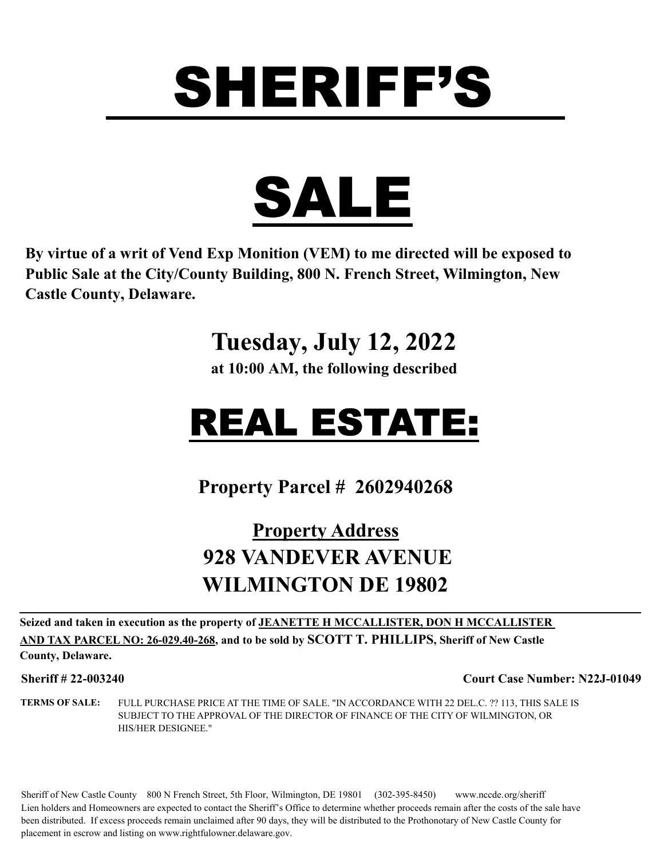

**By virtue of a writ of Vend Exp Monition (VEM) to me directed will be exposed to Public Sale at the City/County Building, 800 N. French Street, Wilmington, New Castle County, Delaware.** 

#### **Tuesday, July 12, 2022**

**at 10:00 AM, the following described**

## REAL ESTATE:

**Property Parcel # 2602940268**

#### **Property Address 928 VANDEVER AVENUE WILMINGTON DE 19802**

**Seized and taken in execution as the property of JEANETTE H MCCALLISTER, DON H MCCALLISTER AND TAX PARCEL NO: 26-029.40-268, and to be sold by SCOTT T. PHILLIPS, Sheriff of New Castle** 

#### **County, Delaware.**

**Sheriff # 22-003240 Court Case Number: N22J-01049**

**TERMS OF SALE:** FULL PURCHASE PRICE AT THE TIME OF SALE. "IN ACCORDANCE WITH 22 DEL.C. ?? 113, THIS SALE IS SUBJECT TO THE APPROVAL OF THE DIRECTOR OF FINANCE OF THE CITY OF WILMINGTON, OR HIS/HER DESIGNEE."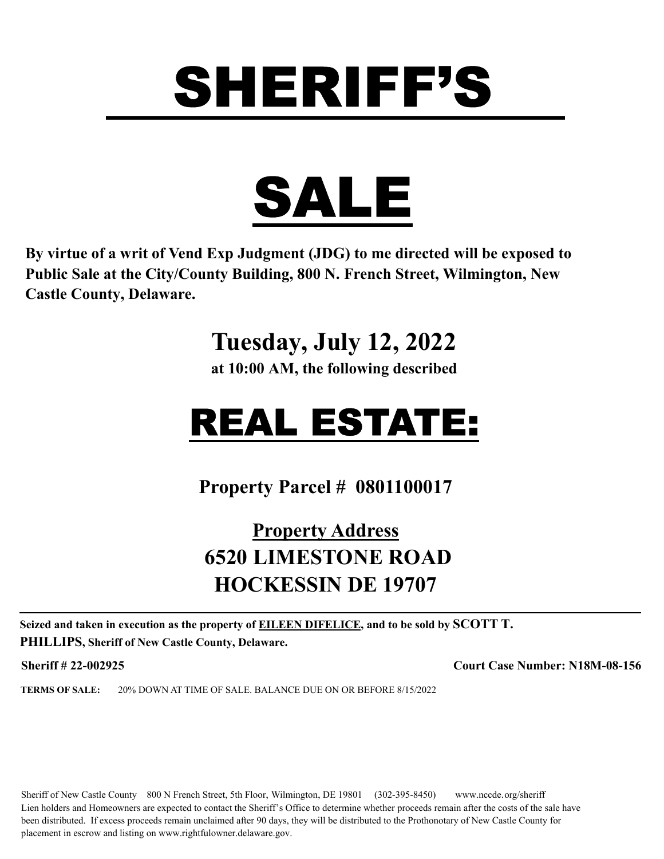

**By virtue of a writ of Vend Exp Judgment (JDG) to me directed will be exposed to Public Sale at the City/County Building, 800 N. French Street, Wilmington, New Castle County, Delaware.** 

**Tuesday, July 12, 2022**

**at 10:00 AM, the following described**

## REAL ESTATE:

**Property Parcel # 0801100017**

#### **Property Address 6520 LIMESTONE ROAD HOCKESSIN DE 19707**

**Seized and taken in execution as the property of EILEEN DIFELICE, and to be sold by SCOTT T. PHILLIPS, Sheriff of New Castle County, Delaware.**

**Sheriff # 22-002925 Court Case Number: N18M-08-156**

**TERMS OF SALE:** 20% DOWN AT TIME OF SALE. BALANCE DUE ON OR BEFORE 8/15/2022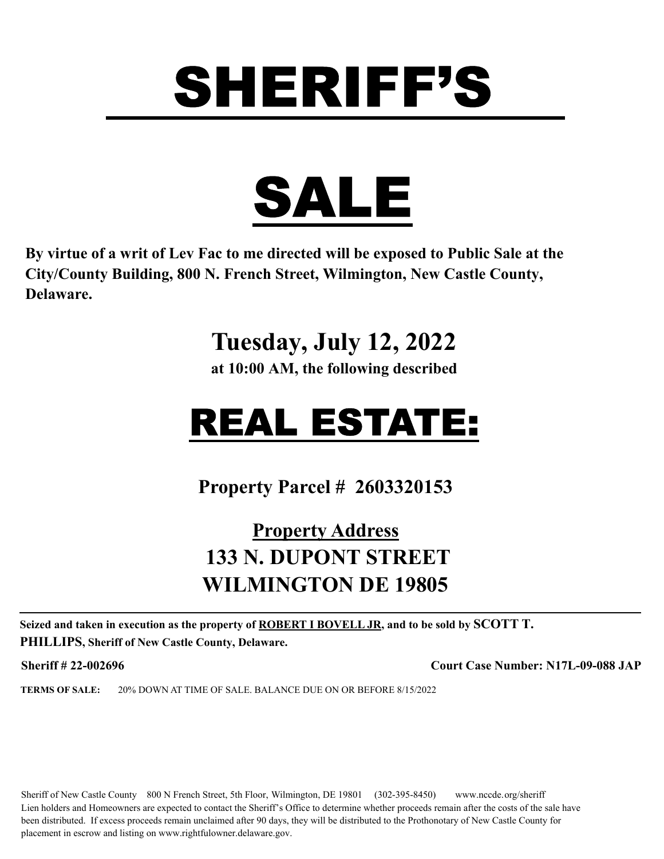

**By virtue of a writ of Lev Fac to me directed will be exposed to Public Sale at the City/County Building, 800 N. French Street, Wilmington, New Castle County, Delaware.** 

### **Tuesday, July 12, 2022**

**at 10:00 AM, the following described**

## REAL ESTATE:

**Property Parcel # 2603320153**

#### **Property Address 133 N. DUPONT STREET WILMINGTON DE 19805**

**Seized and taken in execution as the property of ROBERT I BOVELL JR, and to be sold by SCOTT T. PHILLIPS, Sheriff of New Castle County, Delaware.**

**Sheriff # 22-002696 Court Case Number: N17L-09-088 JAP**

**TERMS OF SALE:** 20% DOWN AT TIME OF SALE. BALANCE DUE ON OR BEFORE 8/15/2022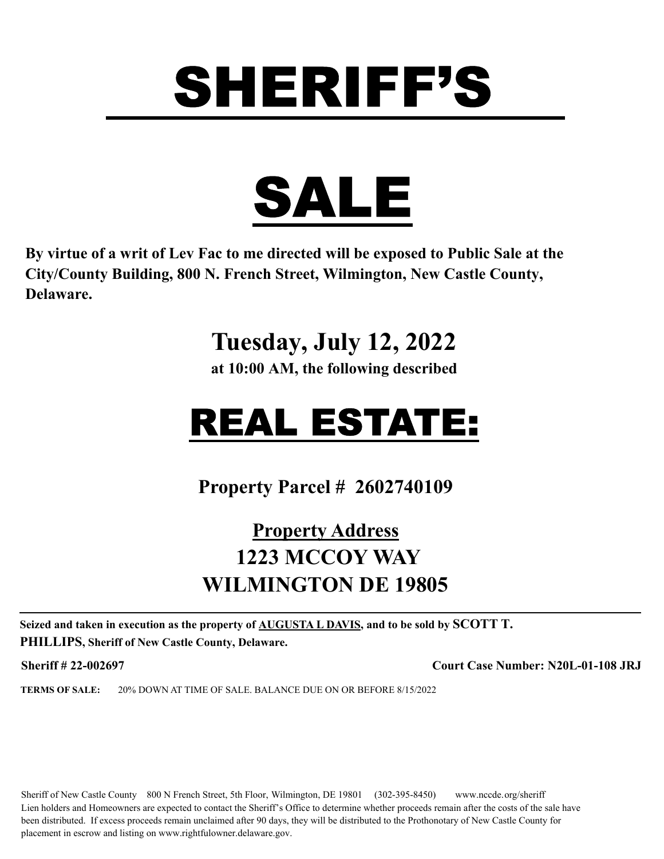



**By virtue of a writ of Lev Fac to me directed will be exposed to Public Sale at the City/County Building, 800 N. French Street, Wilmington, New Castle County, Delaware.** 

#### **Tuesday, July 12, 2022**

**at 10:00 AM, the following described**

### REAL ESTATE:

**Property Parcel # 2602740109**

#### **Property Address 1223 MCCOY WAY WILMINGTON DE 19805**

**Seized and taken in execution as the property of AUGUSTA L DAVIS, and to be sold by SCOTT T. PHILLIPS, Sheriff of New Castle County, Delaware.**

**Sheriff # 22-002697 Court Case Number: N20L-01-108 JRJ**

**TERMS OF SALE:** 20% DOWN AT TIME OF SALE. BALANCE DUE ON OR BEFORE 8/15/2022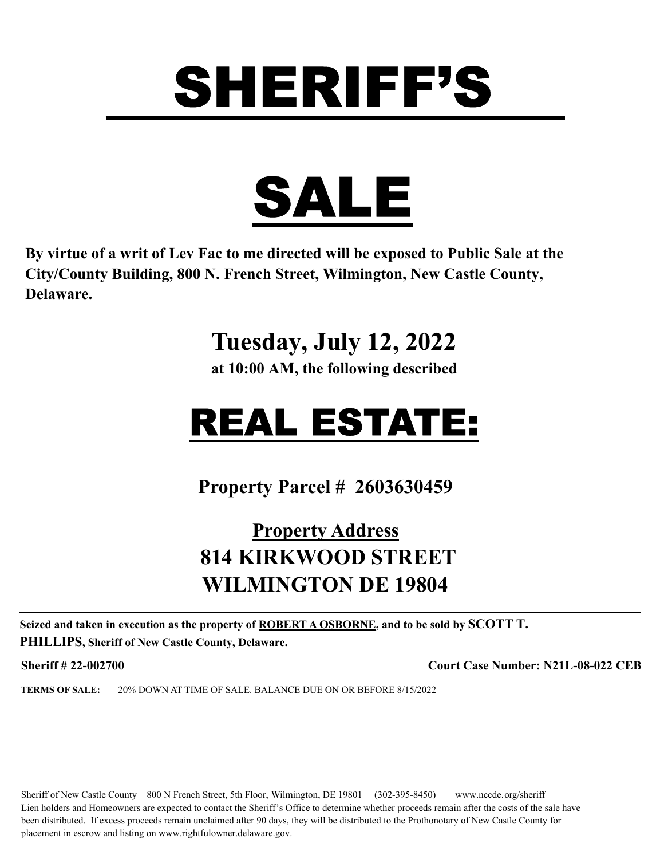

**By virtue of a writ of Lev Fac to me directed will be exposed to Public Sale at the City/County Building, 800 N. French Street, Wilmington, New Castle County, Delaware.** 

### **Tuesday, July 12, 2022**

**at 10:00 AM, the following described**

## REAL ESTATE:

**Property Parcel # 2603630459**

#### **Property Address 814 KIRKWOOD STREET WILMINGTON DE 19804**

**Seized and taken in execution as the property of ROBERT A OSBORNE, and to be sold by SCOTT T. PHILLIPS, Sheriff of New Castle County, Delaware.**

**Sheriff # 22-002700 Court Case Number: N21L-08-022 CEB**

**TERMS OF SALE:** 20% DOWN AT TIME OF SALE. BALANCE DUE ON OR BEFORE 8/15/2022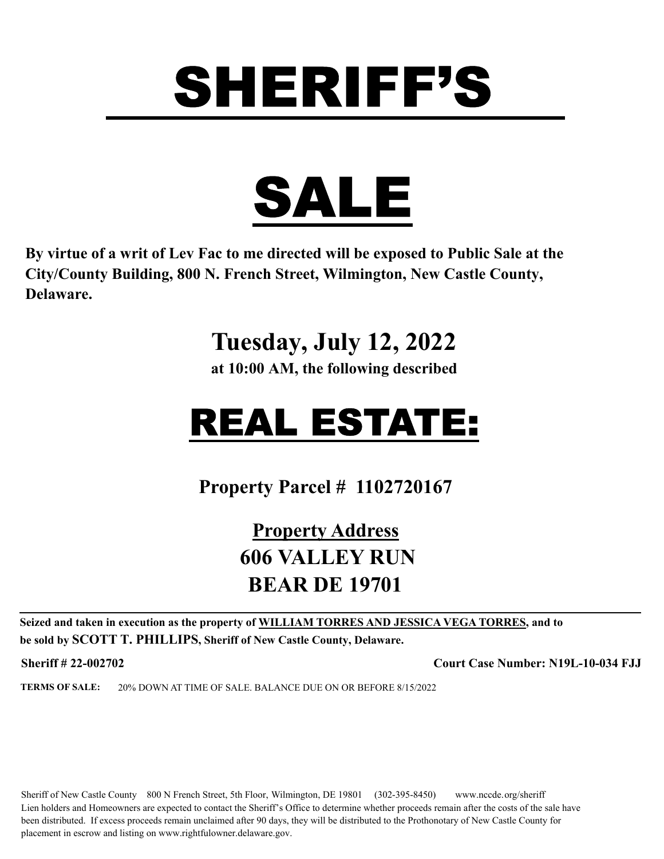

**By virtue of a writ of Lev Fac to me directed will be exposed to Public Sale at the City/County Building, 800 N. French Street, Wilmington, New Castle County, Delaware.** 

### **Tuesday, July 12, 2022**

**at 10:00 AM, the following described**

## REAL ESTATE:

**Property Parcel # 1102720167**

#### **Property Address 606 VALLEY RUN BEAR DE 19701**

**Seized and taken in execution as the property of WILLIAM TORRES AND JESSICA VEGA TORRES, and to be sold by SCOTT T. PHILLIPS, Sheriff of New Castle County, Delaware.**

**Sheriff # 22-002702 Court Case Number: N19L-10-034 FJJ**

**TERMS OF SALE:** 20% DOWN AT TIME OF SALE. BALANCE DUE ON OR BEFORE 8/15/2022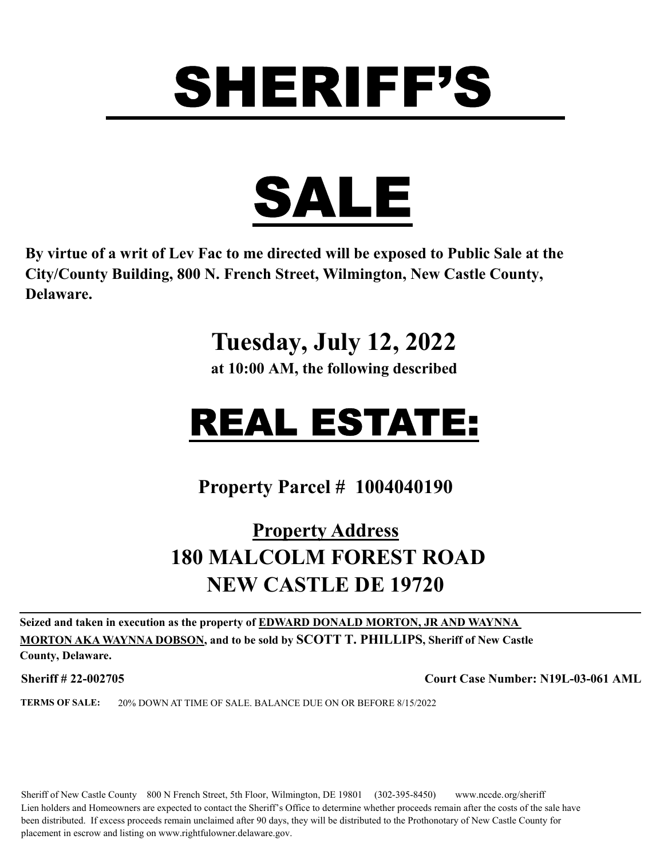

**By virtue of a writ of Lev Fac to me directed will be exposed to Public Sale at the City/County Building, 800 N. French Street, Wilmington, New Castle County, Delaware.** 

### **Tuesday, July 12, 2022**

**at 10:00 AM, the following described**

### REAL ESTATE:

**Property Parcel # 1004040190**

#### **Property Address 180 MALCOLM FOREST ROAD NEW CASTLE DE 19720**

**Seized and taken in execution as the property of EDWARD DONALD MORTON, JR AND WAYNNA MORTON AKA WAYNNA DOBSON, and to be sold by SCOTT T. PHILLIPS, Sheriff of New Castle** 

**County, Delaware.**

**Sheriff # 22-002705 Court Case Number: N19L-03-061 AML**

**TERMS OF SALE:** 20% DOWN AT TIME OF SALE. BALANCE DUE ON OR BEFORE 8/15/2022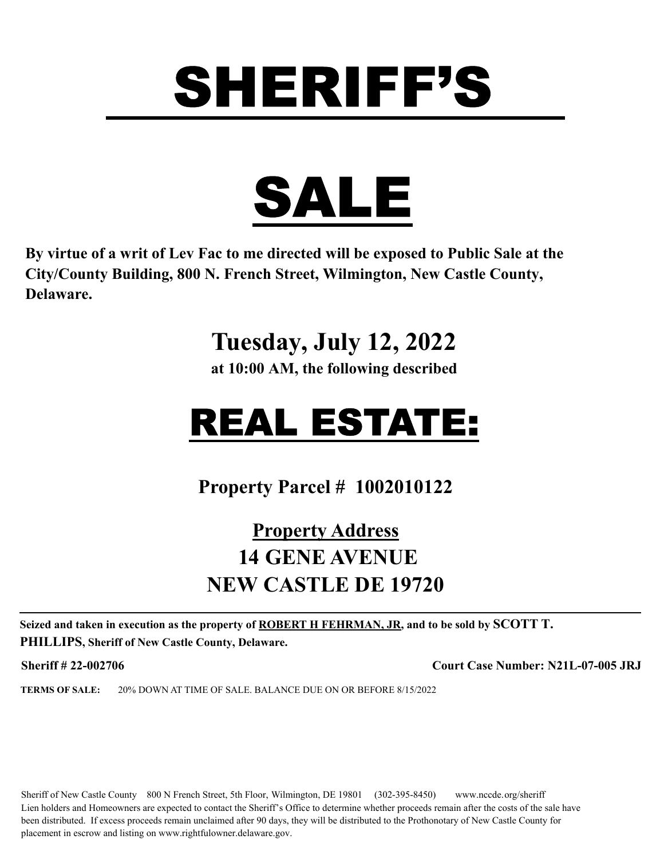

**By virtue of a writ of Lev Fac to me directed will be exposed to Public Sale at the City/County Building, 800 N. French Street, Wilmington, New Castle County, Delaware.** 

### **Tuesday, July 12, 2022**

**at 10:00 AM, the following described**

## REAL ESTATE:

**Property Parcel # 1002010122**

#### **Property Address 14 GENE AVENUE NEW CASTLE DE 19720**

**Seized and taken in execution as the property of ROBERT H FEHRMAN, JR, and to be sold by SCOTT T. PHILLIPS, Sheriff of New Castle County, Delaware.**

**Sheriff # 22-002706 Court Case Number: N21L-07-005 JRJ**

**TERMS OF SALE:** 20% DOWN AT TIME OF SALE. BALANCE DUE ON OR BEFORE 8/15/2022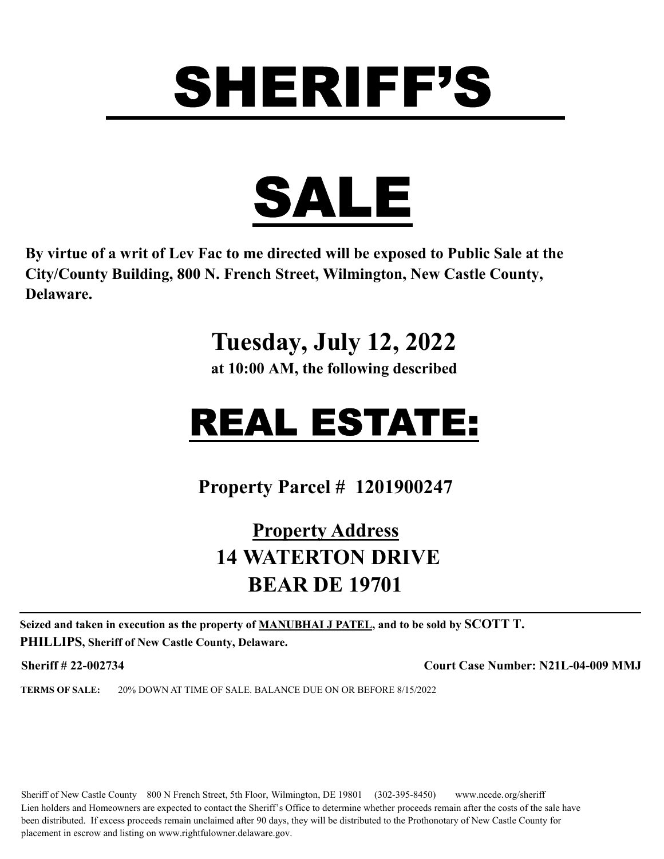

**By virtue of a writ of Lev Fac to me directed will be exposed to Public Sale at the City/County Building, 800 N. French Street, Wilmington, New Castle County, Delaware.** 

### **Tuesday, July 12, 2022**

**at 10:00 AM, the following described**

## REAL ESTATE:

**Property Parcel # 1201900247**

#### **Property Address 14 WATERTON DRIVE BEAR DE 19701**

**Seized and taken in execution as the property of MANUBHAI J PATEL, and to be sold by SCOTT T. PHILLIPS, Sheriff of New Castle County, Delaware.**

**Sheriff # 22-002734 Court Case Number: N21L-04-009 MMJ**

**TERMS OF SALE:** 20% DOWN AT TIME OF SALE. BALANCE DUE ON OR BEFORE 8/15/2022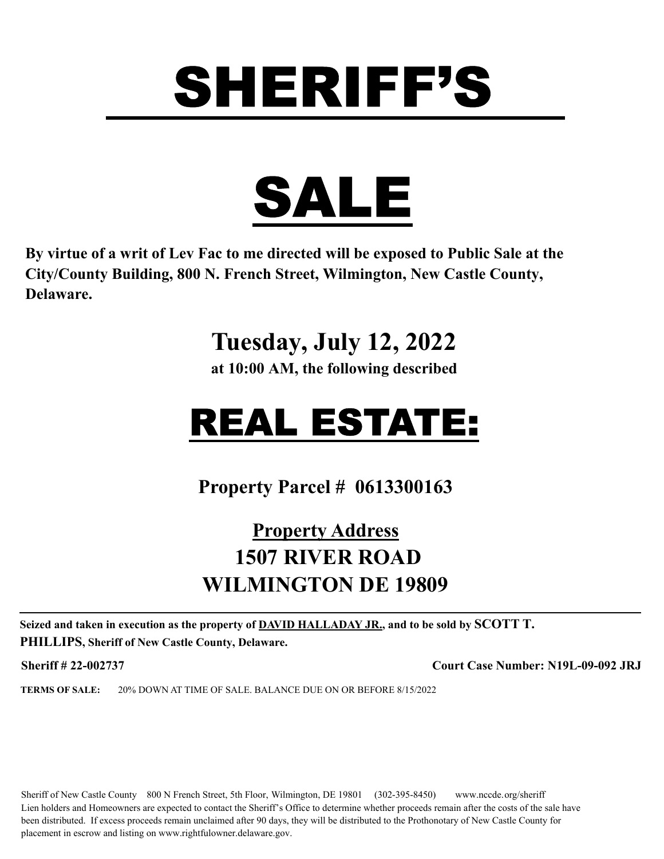

**By virtue of a writ of Lev Fac to me directed will be exposed to Public Sale at the City/County Building, 800 N. French Street, Wilmington, New Castle County, Delaware.** 

### **Tuesday, July 12, 2022**

**at 10:00 AM, the following described**

## REAL ESTATE:

**Property Parcel # 0613300163**

#### **Property Address 1507 RIVER ROAD WILMINGTON DE 19809**

**Seized and taken in execution as the property of DAVID HALLADAY JR., and to be sold by SCOTT T. PHILLIPS, Sheriff of New Castle County, Delaware.**

**Sheriff # 22-002737 Court Case Number: N19L-09-092 JRJ**

**TERMS OF SALE:** 20% DOWN AT TIME OF SALE. BALANCE DUE ON OR BEFORE 8/15/2022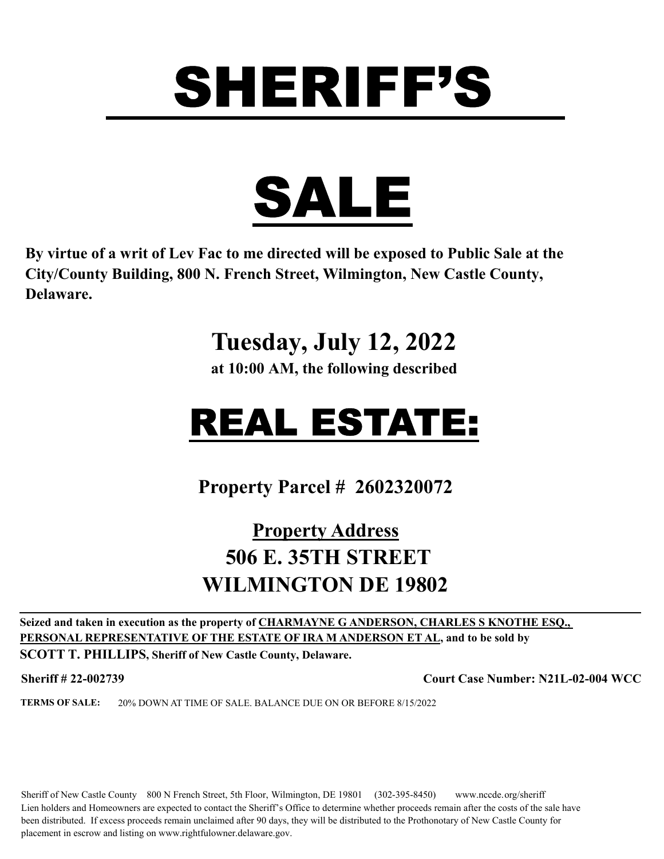

**By virtue of a writ of Lev Fac to me directed will be exposed to Public Sale at the City/County Building, 800 N. French Street, Wilmington, New Castle County, Delaware.** 

### **Tuesday, July 12, 2022**

**at 10:00 AM, the following described**

## REAL ESTATE:

**Property Parcel # 2602320072**

#### **Property Address 506 E. 35TH STREET WILMINGTON DE 19802**

**Seized and taken in execution as the property of CHARMAYNE G ANDERSON, CHARLES S KNOTHE ESQ., PERSONAL REPRESENTATIVE OF THE ESTATE OF IRA M ANDERSON ET AL, and to be sold by SCOTT T. PHILLIPS, Sheriff of New Castle County, Delaware.**

**Sheriff # 22-002739 Court Case Number: N21L-02-004 WCC**

**TERMS OF SALE:** 20% DOWN AT TIME OF SALE. BALANCE DUE ON OR BEFORE 8/15/2022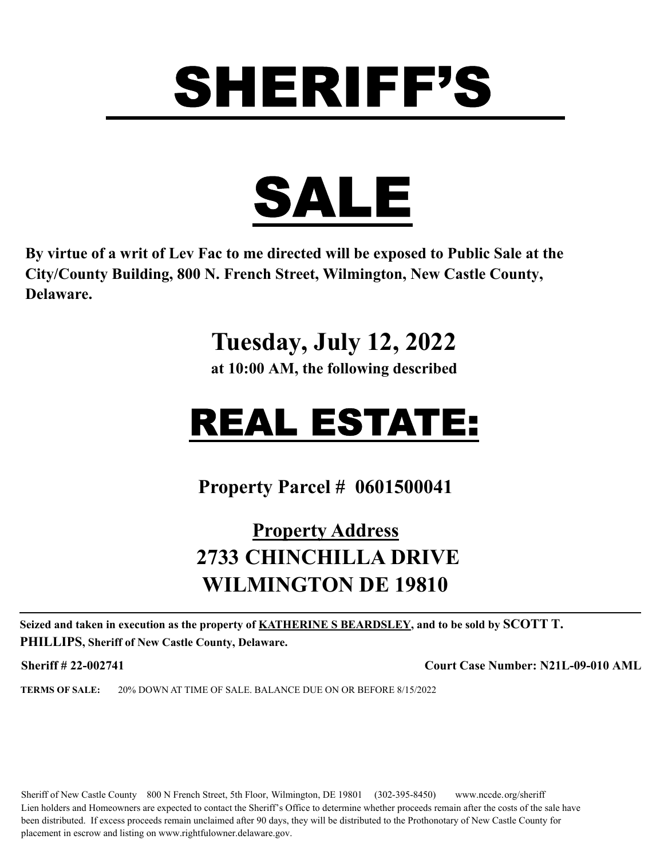

**By virtue of a writ of Lev Fac to me directed will be exposed to Public Sale at the City/County Building, 800 N. French Street, Wilmington, New Castle County, Delaware.** 

### **Tuesday, July 12, 2022**

**at 10:00 AM, the following described**

## REAL ESTATE:

**Property Parcel # 0601500041**

#### **Property Address 2733 CHINCHILLA DRIVE WILMINGTON DE 19810**

**Seized and taken in execution as the property of KATHERINE S BEARDSLEY, and to be sold by SCOTT T. PHILLIPS, Sheriff of New Castle County, Delaware.**

**Sheriff # 22-002741 Court Case Number: N21L-09-010 AML**

**TERMS OF SALE:** 20% DOWN AT TIME OF SALE. BALANCE DUE ON OR BEFORE 8/15/2022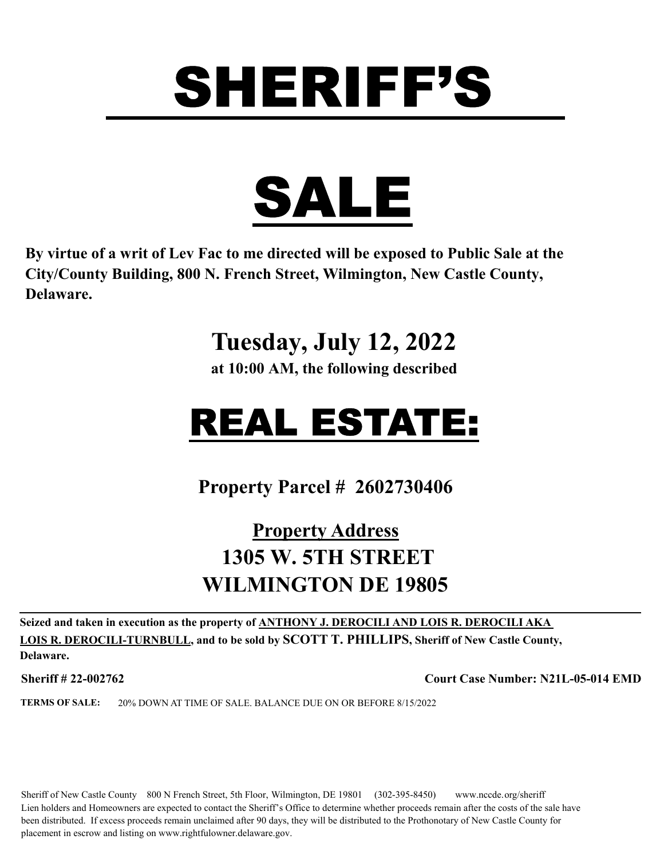

**By virtue of a writ of Lev Fac to me directed will be exposed to Public Sale at the City/County Building, 800 N. French Street, Wilmington, New Castle County, Delaware.** 

### **Tuesday, July 12, 2022**

**at 10:00 AM, the following described**

## REAL ESTATE:

**Property Parcel # 2602730406**

#### **Property Address 1305 W. 5TH STREET WILMINGTON DE 19805**

**Seized and taken in execution as the property of ANTHONY J. DEROCILI AND LOIS R. DEROCILI AKA LOIS R. DEROCILI-TURNBULL, and to be sold by SCOTT T. PHILLIPS, Sheriff of New Castle County, Delaware.**

**Sheriff # 22-002762 Court Case Number: N21L-05-014 EMD**

**TERMS OF SALE:** 20% DOWN AT TIME OF SALE. BALANCE DUE ON OR BEFORE 8/15/2022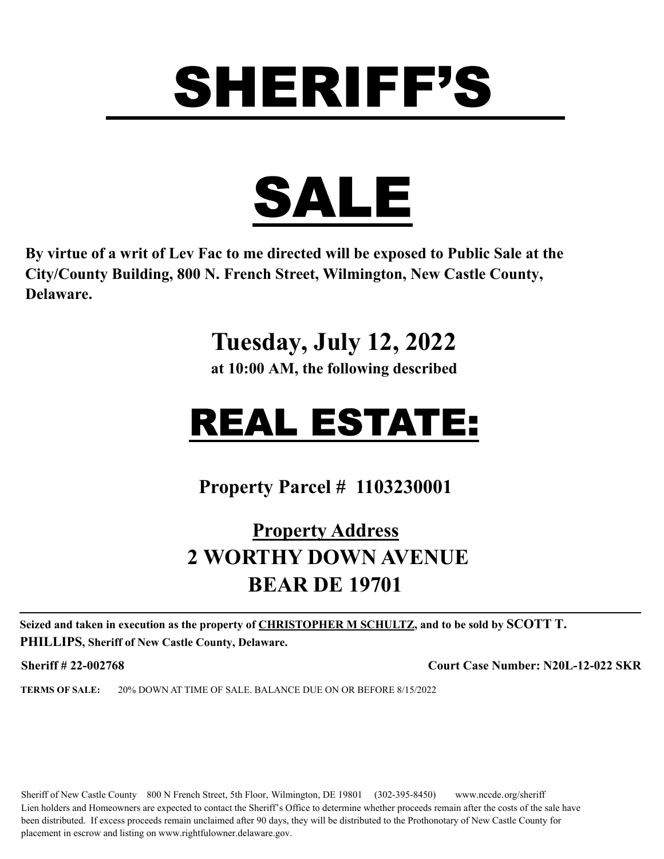

**By virtue of a writ of Lev Fac to me directed will be exposed to Public Sale at the City/County Building, 800 N. French Street, Wilmington, New Castle County, Delaware.** 

### **Tuesday, July 12, 2022**

**at 10:00 AM, the following described**

## REAL ESTATE:

**Property Parcel # 1103230001**

#### **Property Address 2 WORTHY DOWN AVENUE BEAR DE 19701**

**Seized and taken in execution as the property of CHRISTOPHER M SCHULTZ, and to be sold by SCOTT T. PHILLIPS, Sheriff of New Castle County, Delaware.**

**Sheriff # 22-002768 Court Case Number: N20L-12-022 SKR**

**TERMS OF SALE:** 20% DOWN AT TIME OF SALE. BALANCE DUE ON OR BEFORE 8/15/2022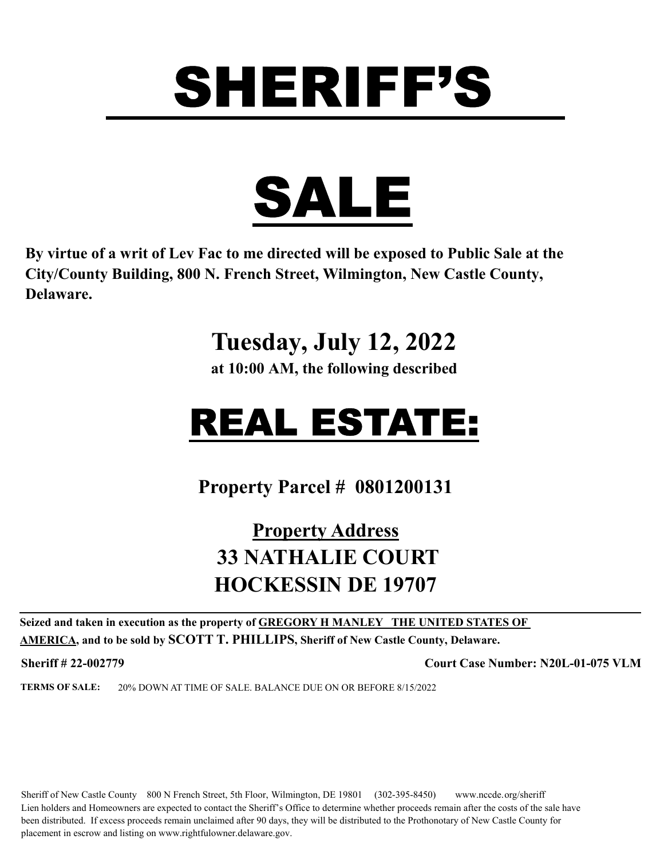

**By virtue of a writ of Lev Fac to me directed will be exposed to Public Sale at the City/County Building, 800 N. French Street, Wilmington, New Castle County, Delaware.** 

### **Tuesday, July 12, 2022**

**at 10:00 AM, the following described**

## REAL ESTATE:

**Property Parcel # 0801200131**

#### **Property Address 33 NATHALIE COURT HOCKESSIN DE 19707**

**Seized and taken in execution as the property of GREGORY H MANLEY THE UNITED STATES OF AMERICA, and to be sold by SCOTT T. PHILLIPS, Sheriff of New Castle County, Delaware.**

**Sheriff # 22-002779 Court Case Number: N20L-01-075 VLM**

**TERMS OF SALE:** 20% DOWN AT TIME OF SALE. BALANCE DUE ON OR BEFORE 8/15/2022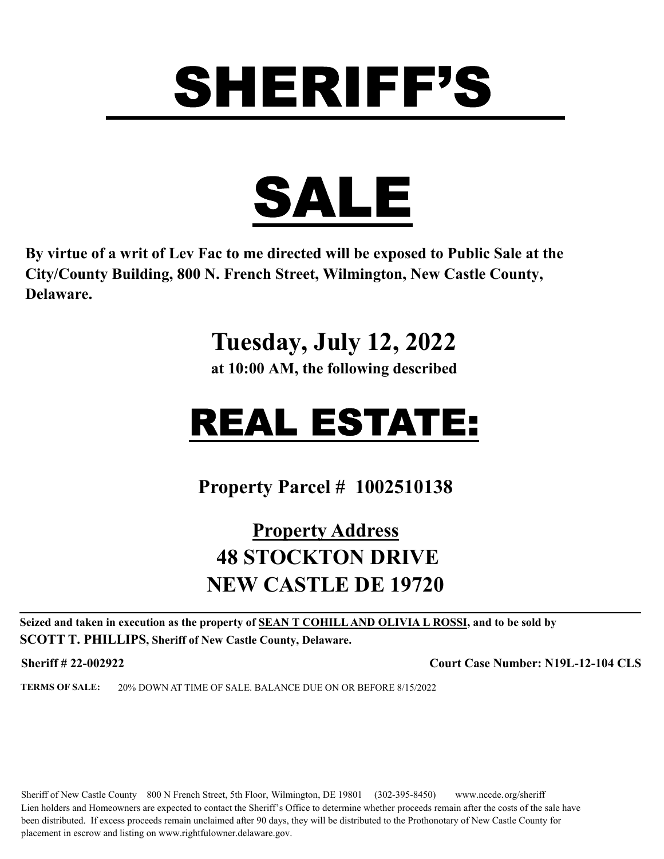

**By virtue of a writ of Lev Fac to me directed will be exposed to Public Sale at the City/County Building, 800 N. French Street, Wilmington, New Castle County, Delaware.** 

### **Tuesday, July 12, 2022**

**at 10:00 AM, the following described**

## REAL ESTATE:

**Property Parcel # 1002510138**

#### **Property Address 48 STOCKTON DRIVE NEW CASTLE DE 19720**

**Seized and taken in execution as the property of SEAN T COHILL AND OLIVIA L ROSSI, and to be sold by SCOTT T. PHILLIPS, Sheriff of New Castle County, Delaware.**

**Sheriff # 22-002922 Court Case Number: N19L-12-104 CLS**

**TERMS OF SALE:** 20% DOWN AT TIME OF SALE. BALANCE DUE ON OR BEFORE 8/15/2022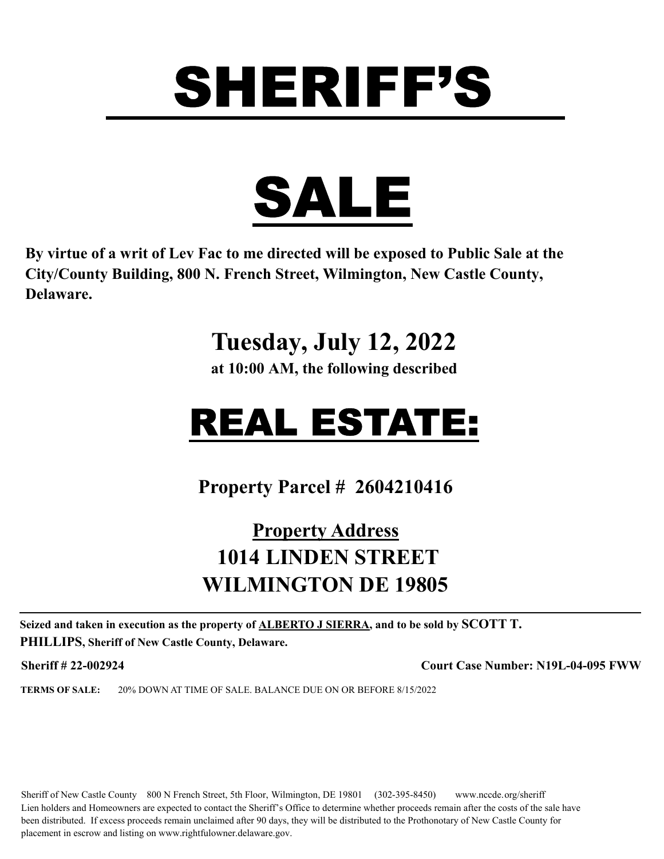

**By virtue of a writ of Lev Fac to me directed will be exposed to Public Sale at the City/County Building, 800 N. French Street, Wilmington, New Castle County, Delaware.** 

### **Tuesday, July 12, 2022**

**at 10:00 AM, the following described**

## REAL ESTATE:

**Property Parcel # 2604210416**

#### **Property Address 1014 LINDEN STREET WILMINGTON DE 19805**

**Seized and taken in execution as the property of ALBERTO J SIERRA, and to be sold by SCOTT T. PHILLIPS, Sheriff of New Castle County, Delaware.**

**Sheriff # 22-002924 Court Case Number: N19L-04-095 FWW**

**TERMS OF SALE:** 20% DOWN AT TIME OF SALE. BALANCE DUE ON OR BEFORE 8/15/2022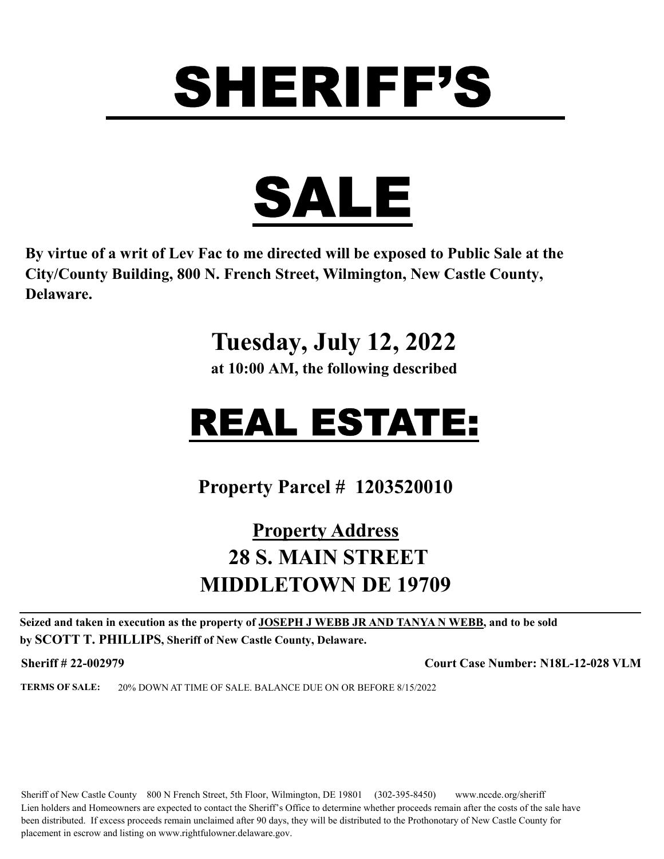

**By virtue of a writ of Lev Fac to me directed will be exposed to Public Sale at the City/County Building, 800 N. French Street, Wilmington, New Castle County, Delaware.** 

### **Tuesday, July 12, 2022**

**at 10:00 AM, the following described**

## REAL ESTATE:

**Property Parcel # 1203520010**

#### **Property Address 28 S. MAIN STREET MIDDLETOWN DE 19709**

**Seized and taken in execution as the property of JOSEPH J WEBB JR AND TANYA N WEBB, and to be sold by SCOTT T. PHILLIPS, Sheriff of New Castle County, Delaware.**

**Sheriff # 22-002979 Court Case Number: N18L-12-028 VLM**

**TERMS OF SALE:** 20% DOWN AT TIME OF SALE. BALANCE DUE ON OR BEFORE 8/15/2022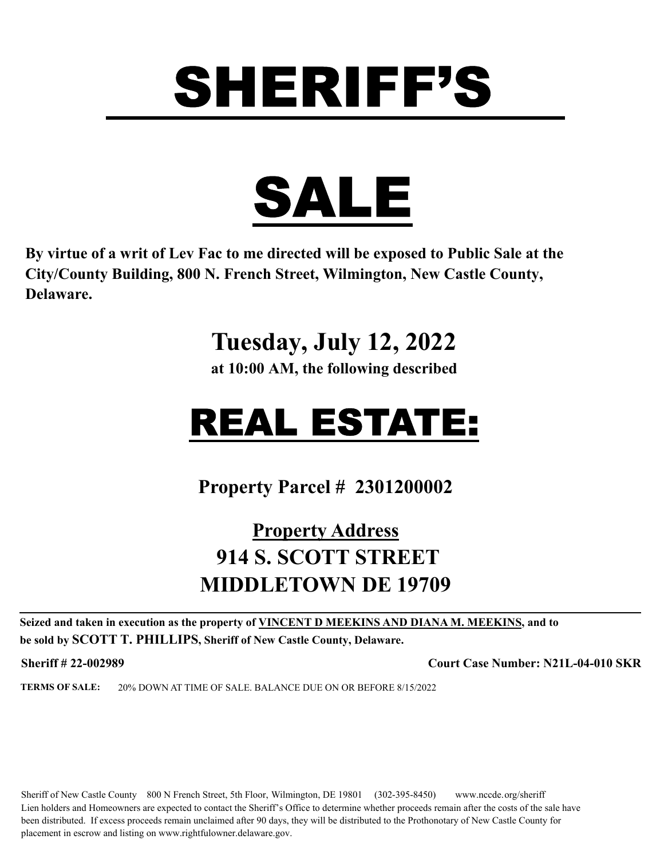

**By virtue of a writ of Lev Fac to me directed will be exposed to Public Sale at the City/County Building, 800 N. French Street, Wilmington, New Castle County, Delaware.** 

### **Tuesday, July 12, 2022**

**at 10:00 AM, the following described**

## REAL ESTATE:

**Property Parcel # 2301200002**

#### **Property Address 914 S. SCOTT STREET MIDDLETOWN DE 19709**

**Seized and taken in execution as the property of VINCENT D MEEKINS AND DIANA M. MEEKINS, and to be sold by SCOTT T. PHILLIPS, Sheriff of New Castle County, Delaware.**

**Sheriff # 22-002989 Court Case Number: N21L-04-010 SKR**

**TERMS OF SALE:** 20% DOWN AT TIME OF SALE. BALANCE DUE ON OR BEFORE 8/15/2022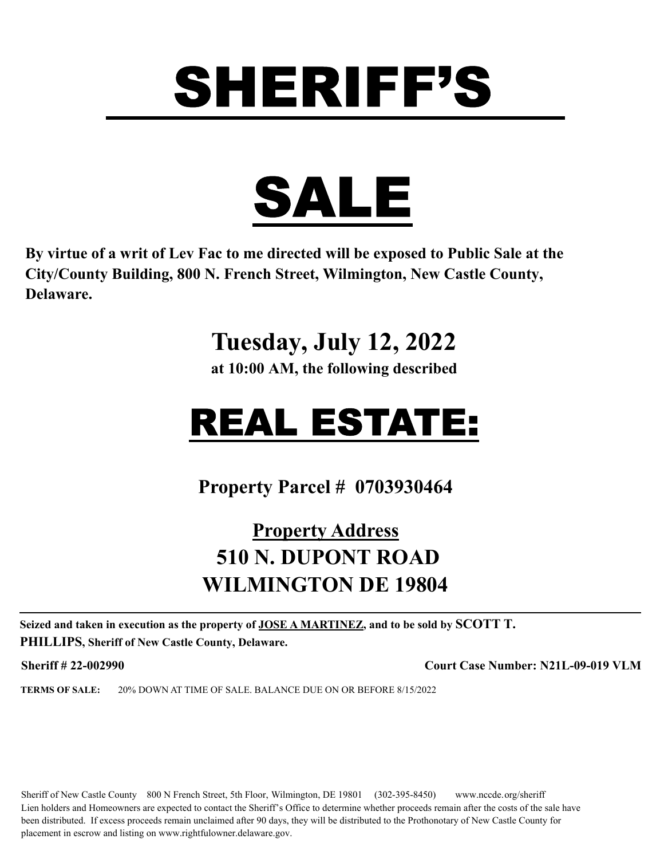

**By virtue of a writ of Lev Fac to me directed will be exposed to Public Sale at the City/County Building, 800 N. French Street, Wilmington, New Castle County, Delaware.** 

### **Tuesday, July 12, 2022**

**at 10:00 AM, the following described**

### REAL ESTATE:

**Property Parcel # 0703930464**

#### **Property Address 510 N. DUPONT ROAD WILMINGTON DE 19804**

**Seized and taken in execution as the property of JOSE A MARTINEZ, and to be sold by SCOTT T. PHILLIPS, Sheriff of New Castle County, Delaware.**

**Sheriff # 22-002990 Court Case Number: N21L-09-019 VLM**

**TERMS OF SALE:** 20% DOWN AT TIME OF SALE. BALANCE DUE ON OR BEFORE 8/15/2022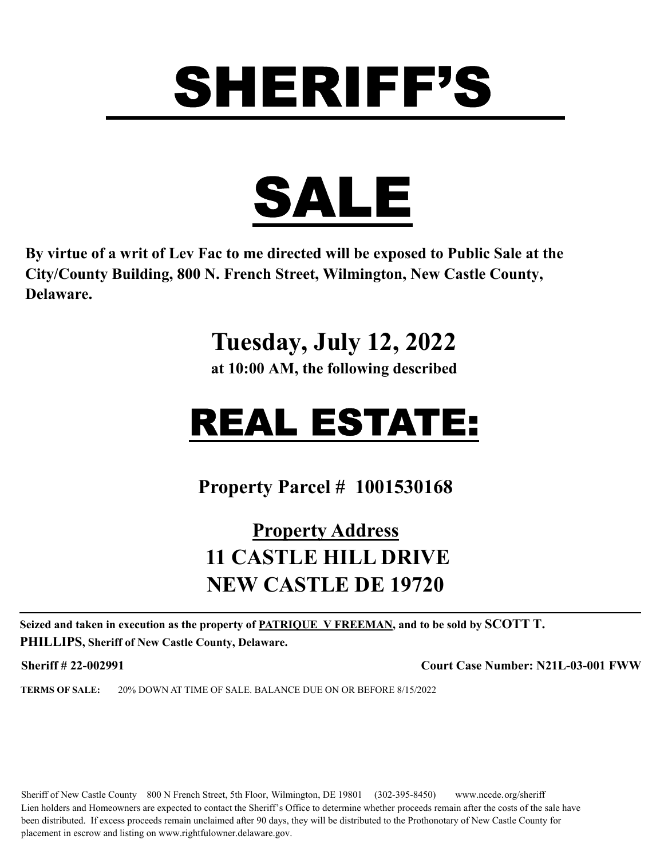

**By virtue of a writ of Lev Fac to me directed will be exposed to Public Sale at the City/County Building, 800 N. French Street, Wilmington, New Castle County, Delaware.** 

### **Tuesday, July 12, 2022**

**at 10:00 AM, the following described**

## REAL ESTATE:

**Property Parcel # 1001530168**

#### **Property Address 11 CASTLE HILL DRIVE NEW CASTLE DE 19720**

**Seized and taken in execution as the property of PATRIQUE V FREEMAN, and to be sold by SCOTT T. PHILLIPS, Sheriff of New Castle County, Delaware.**

**Sheriff # 22-002991 Court Case Number: N21L-03-001 FWW**

**TERMS OF SALE:** 20% DOWN AT TIME OF SALE. BALANCE DUE ON OR BEFORE 8/15/2022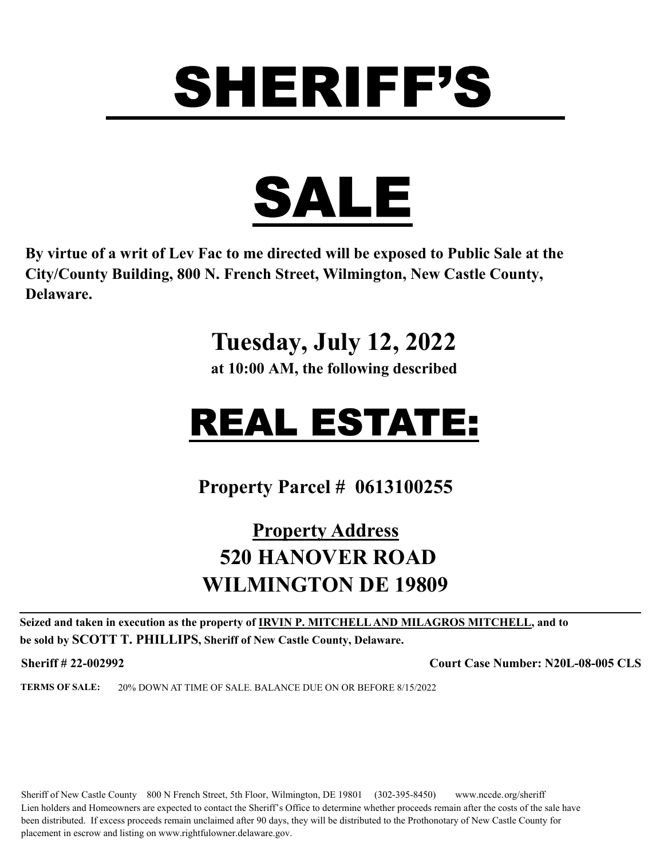

**By virtue of a writ of Lev Fac to me directed will be exposed to Public Sale at the City/County Building, 800 N. French Street, Wilmington, New Castle County, Delaware.** 

### **Tuesday, July 12, 2022**

**at 10:00 AM, the following described**

## REAL ESTATE:

**Property Parcel # 0613100255**

#### **Property Address 520 HANOVER ROAD WILMINGTON DE 19809**

**Seized and taken in execution as the property of IRVIN P. MITCHELL AND MILAGROS MITCHELL, and to be sold by SCOTT T. PHILLIPS, Sheriff of New Castle County, Delaware.**

**Sheriff # 22-002992 Court Case Number: N20L-08-005 CLS**

**TERMS OF SALE:** 20% DOWN AT TIME OF SALE. BALANCE DUE ON OR BEFORE 8/15/2022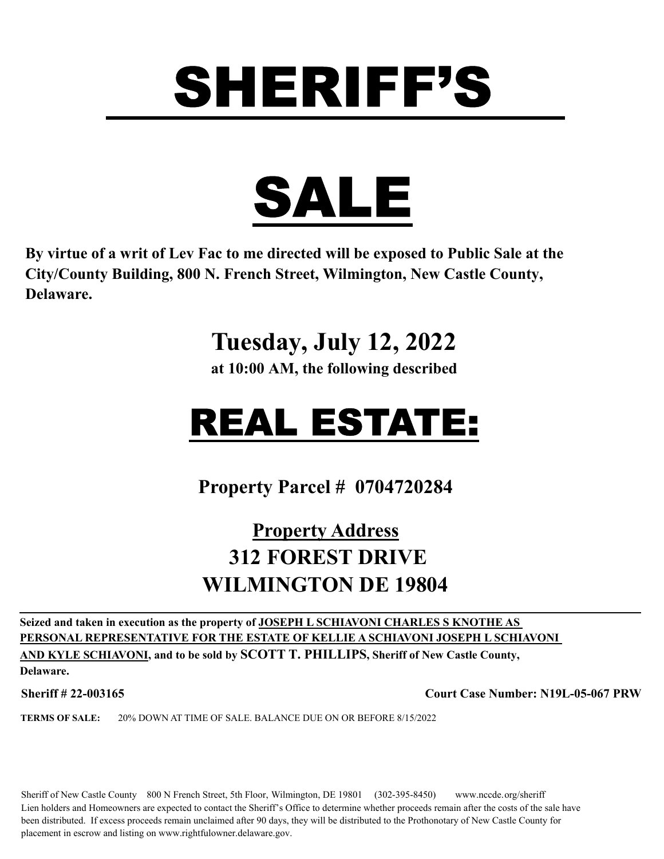



**By virtue of a writ of Lev Fac to me directed will be exposed to Public Sale at the City/County Building, 800 N. French Street, Wilmington, New Castle County, Delaware.** 

#### **Tuesday, July 12, 2022**

**at 10:00 AM, the following described**

### REAL ESTATE:

**Property Parcel # 0704720284**

#### **Property Address 312 FOREST DRIVE WILMINGTON DE 19804**

**Seized and taken in execution as the property of JOSEPH L SCHIAVONI CHARLES S KNOTHE AS PERSONAL REPRESENTATIVE FOR THE ESTATE OF KELLIE A SCHIAVONI JOSEPH L SCHIAVONI AND KYLE SCHIAVONI, and to be sold by SCOTT T. PHILLIPS, Sheriff of New Castle County,** 

**Delaware.**

**Sheriff # 22-003165 Court Case Number: N19L-05-067 PRW**

**TERMS OF SALE:** 20% DOWN AT TIME OF SALE. BALANCE DUE ON OR BEFORE 8/15/2022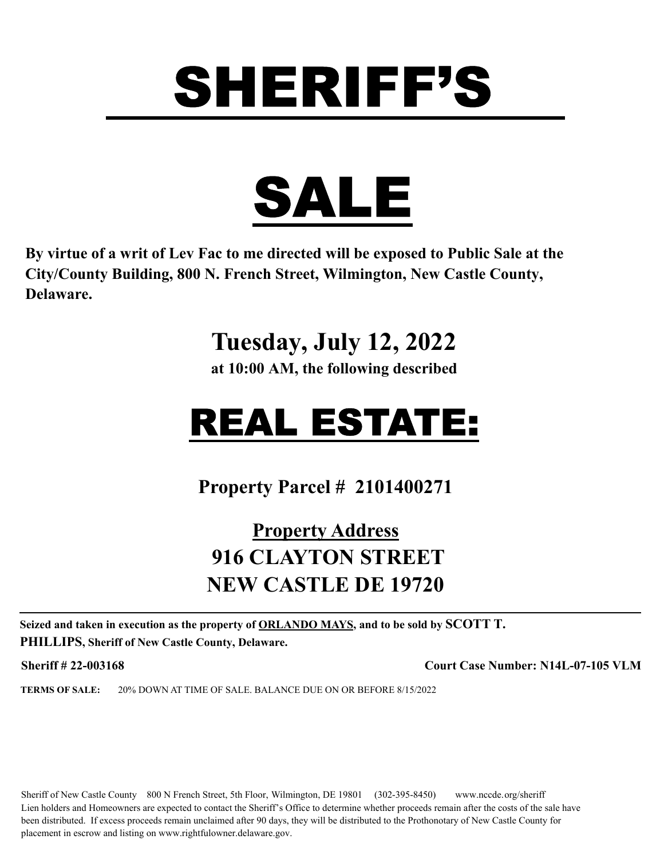

**By virtue of a writ of Lev Fac to me directed will be exposed to Public Sale at the City/County Building, 800 N. French Street, Wilmington, New Castle County, Delaware.** 

### **Tuesday, July 12, 2022**

**at 10:00 AM, the following described**

## REAL ESTATE:

**Property Parcel # 2101400271**

#### **Property Address 916 CLAYTON STREET NEW CASTLE DE 19720**

**Seized and taken in execution as the property of ORLANDO MAYS, and to be sold by SCOTT T. PHILLIPS, Sheriff of New Castle County, Delaware.**

**Sheriff # 22-003168 Court Case Number: N14L-07-105 VLM**

**TERMS OF SALE:** 20% DOWN AT TIME OF SALE. BALANCE DUE ON OR BEFORE 8/15/2022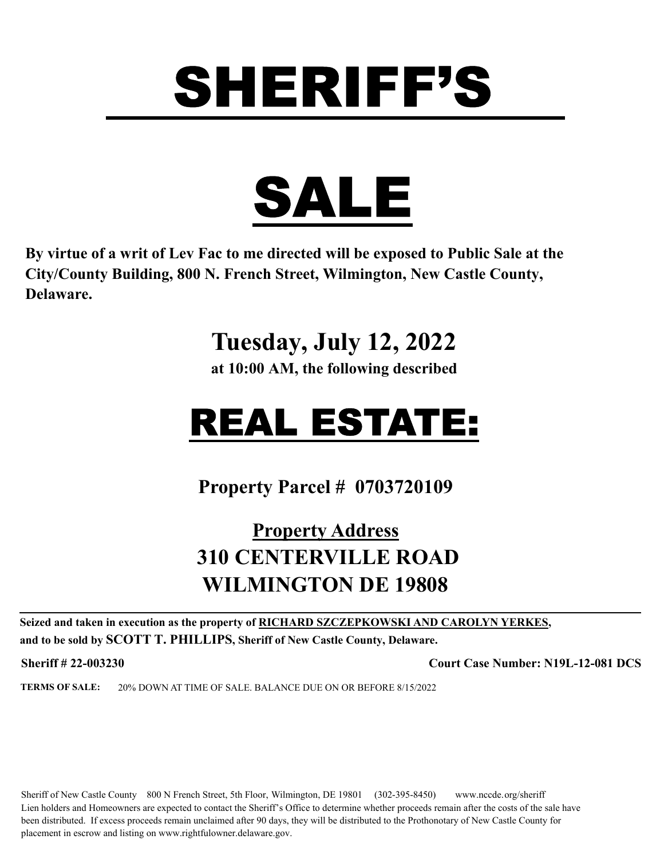

**By virtue of a writ of Lev Fac to me directed will be exposed to Public Sale at the City/County Building, 800 N. French Street, Wilmington, New Castle County, Delaware.** 

### **Tuesday, July 12, 2022**

**at 10:00 AM, the following described**

## REAL ESTATE:

**Property Parcel # 0703720109**

#### **Property Address 310 CENTERVILLE ROAD WILMINGTON DE 19808**

**Seized and taken in execution as the property of RICHARD SZCZEPKOWSKI AND CAROLYN YERKES, and to be sold by SCOTT T. PHILLIPS, Sheriff of New Castle County, Delaware.**

**Sheriff # 22-003230 Court Case Number: N19L-12-081 DCS**

**TERMS OF SALE:** 20% DOWN AT TIME OF SALE. BALANCE DUE ON OR BEFORE 8/15/2022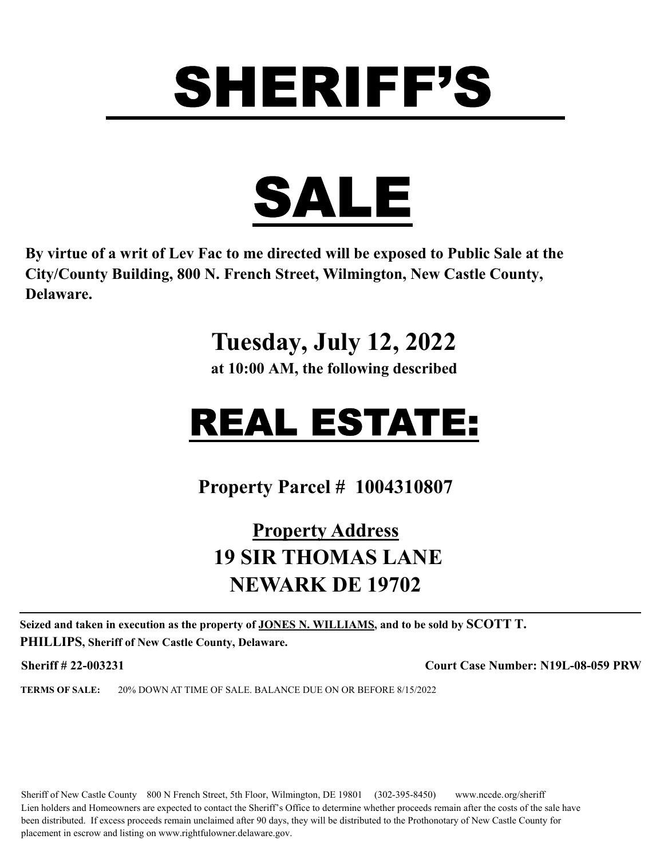

**By virtue of a writ of Lev Fac to me directed will be exposed to Public Sale at the City/County Building, 800 N. French Street, Wilmington, New Castle County, Delaware.** 

### **Tuesday, July 12, 2022**

**at 10:00 AM, the following described**

## REAL ESTATE:

**Property Parcel # 1004310807**

#### **Property Address 19 SIR THOMAS LANE NEWARK DE 19702**

**Seized and taken in execution as the property of JONES N. WILLIAMS, and to be sold by SCOTT T. PHILLIPS, Sheriff of New Castle County, Delaware.**

**Sheriff # 22-003231 Court Case Number: N19L-08-059 PRW**

**TERMS OF SALE:** 20% DOWN AT TIME OF SALE. BALANCE DUE ON OR BEFORE 8/15/2022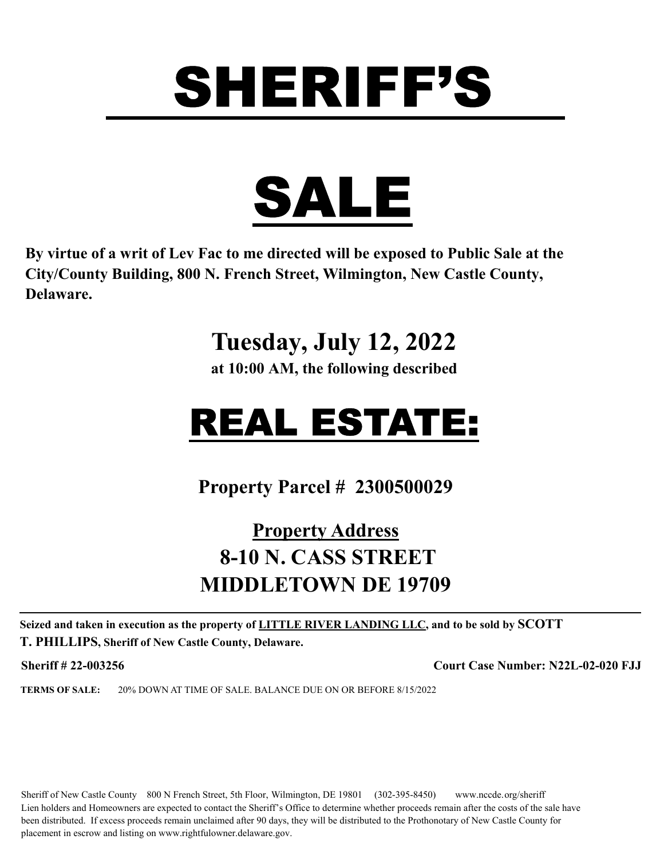

**By virtue of a writ of Lev Fac to me directed will be exposed to Public Sale at the City/County Building, 800 N. French Street, Wilmington, New Castle County, Delaware.** 

#### **Tuesday, July 12, 2022**

**at 10:00 AM, the following described**

## REAL ESTATE:

**Property Parcel # 2300500029**

#### **Property Address 8-10 N. CASS STREET MIDDLETOWN DE 19709**

**Seized and taken in execution as the property of LITTLE RIVER LANDING LLC, and to be sold by SCOTT T. PHILLIPS, Sheriff of New Castle County, Delaware.**

**Sheriff # 22-003256 Court Case Number: N22L-02-020 FJJ**

**TERMS OF SALE:** 20% DOWN AT TIME OF SALE. BALANCE DUE ON OR BEFORE 8/15/2022